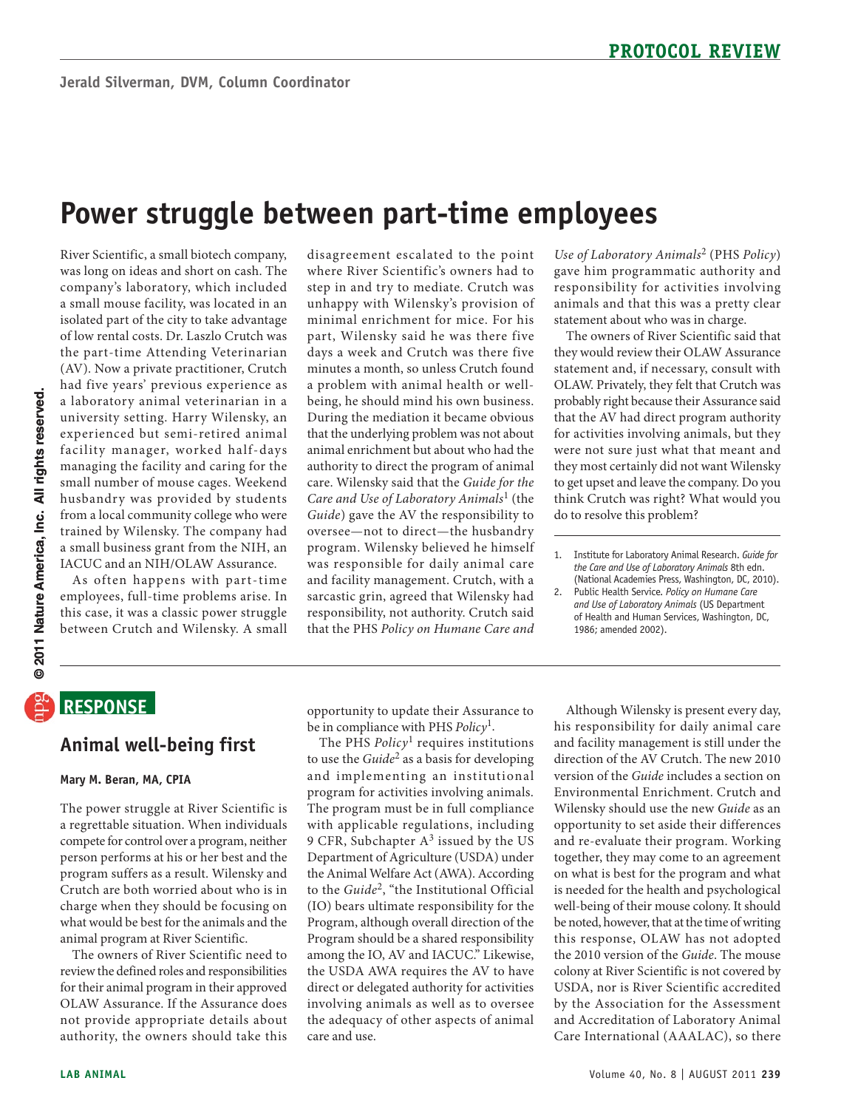# **power struggle between part-time employees**

 River Scientific, a small biotech company, was long on ideas and short on cash. The company's laboratory, which included a small mouse facility, was located in an isolated part of the city to take advantage the part-time Attending Veterinarian (AV). Now a private practitioner, Crutch a laboratory animal veterinarian in a university setting. Harry Wilensky, an experienced but semi-retired animal managing the facility and caring for the husbandry was provided by students from a local community college who were a small business grant from the NIH, an of low rental costs. Dr. Laszlo Crutch was had five years' previous experience as facility manager, worked half-days small number of mouse cages. Weekend trained by Wilensky. The company had IACUC and an NIH/OLAW Assurance.

 As often happens with part-time employees, full-time problems arise. In this case, it was a classic power struggle between Crutch and Wilensky. A small

 disagreement escalated to the point unhappy with Wilensky's provision of part, Wilensky said he was there five days a week and Crutch was there five being, he should mind his own business. that the underlying problem was not about animal enrichment but about who had the authority to direct the program of animal  care. Wilensky said that the *Guide for the Guide*) gave the AV the responsibility to program. Wilensky believed he himself was responsible for daily animal care and facility management. Crutch, with a responsibility, not authority. Crutch said  that the PHS *Policy on Humane Care and*  where River Scientific's owners had to step in and try to mediate. Crutch was minimal enrichment for mice. For his minutes a month, so unless Crutch found a problem with animal health or well-During the mediation it became obvious *Care and Use of Laboratory Animals*1 (the oversee—not to direct—the husbandry sarcastic grin, agreed that Wilensky had

 *Use of Laboratory Animals*2 (PHS *Policy*) responsibility for activities involving gave him programmatic authority and animals and that this was a pretty clear statement about who was in charge.

 The owners of River Scientific said that statement and, if necessary, consult with for activities involving animals, but they were not sure just what that meant and think Crutch was right? What would you they would review their OLAW Assurance OLAW. Privately, they felt that Crutch was probably right because their Assurance said that the AV had direct program authority they most certainly did not want Wilensky to get upset and leave the company. Do you do to resolve this problem?

 *the Care and Use of Laboratory Animals* 8th edn. 1. Institute for Laboratory Animal Research. *Guide for*  (National Academies Press, Washington, DC, 2010).

 of Health and Human Services, Washington, DC, 2. Public Health Service. *Policy on Humane Care and Use of Laboratory Animals* (US Department 1986; amended 2002).

### **ReSponSe**

### **Animal well-being first**

#### **Mary M. Beran, MA, CpIA**

 compete for control over a program, neither person performs at his or her best and the Crutch are both worried about who is in charge when they should be focusing on what would be best for the animals and the The power struggle at River Scientific is a regrettable situation. When individuals program suffers as a result. Wilensky and animal program at River Scientific.

 not provide appropriate details about authority, the owners should take this The owners of River Scientific need to review the defined roles and responsibilities for their animal program in their approved OLAW Assurance. If the Assurance does

opportunity to update their Assurance to be in compliance with PHS *Policy*1.

 to use the *Guide*2 as a basis for developing and implementing an institutional program for activities involving animals. 9 CFR, Subchapter A<sup>3</sup> issued by the US Department of Agriculture (USDA) under to the *Guide*2, "the Institutional Official (IO) bears ultimate responsibility for the Program, although overall direction of the the USDA AWA requires the AV to have direct or delegated authority for activities involving animals as well as to oversee the adequacy of other aspects of animal The PHS *Policy*1 requires institutions The program must be in full compliance with applicable regulations, including the Animal Welfare Act (AWA). According Program should be a shared responsibility among the IO, AV and IACUC." Likewise, care and use.

 Although Wilensky is present every day, his responsibility for daily animal care and facility management is still under the version of the *Guide* includes a section on Wilensky should use the new *Guide* as an and re-evaluate their program. Working together, they may come to an agreement is needed for the health and psychological be noted, however, that at the time of writing this response, OLAW has not adopted the 2010 version of the *Guide*. The mouse USDA, nor is River Scientific accredited by the Association for the Assessment and Accreditation of Laboratory Animal Care International (AAALAC), so there direction of the AV Crutch. The new 2010 Environmental Enrichment. Crutch and opportunity to set aside their differences on what is best for the program and what well-being of their mouse colony. It should colony at River Scientific is not covered by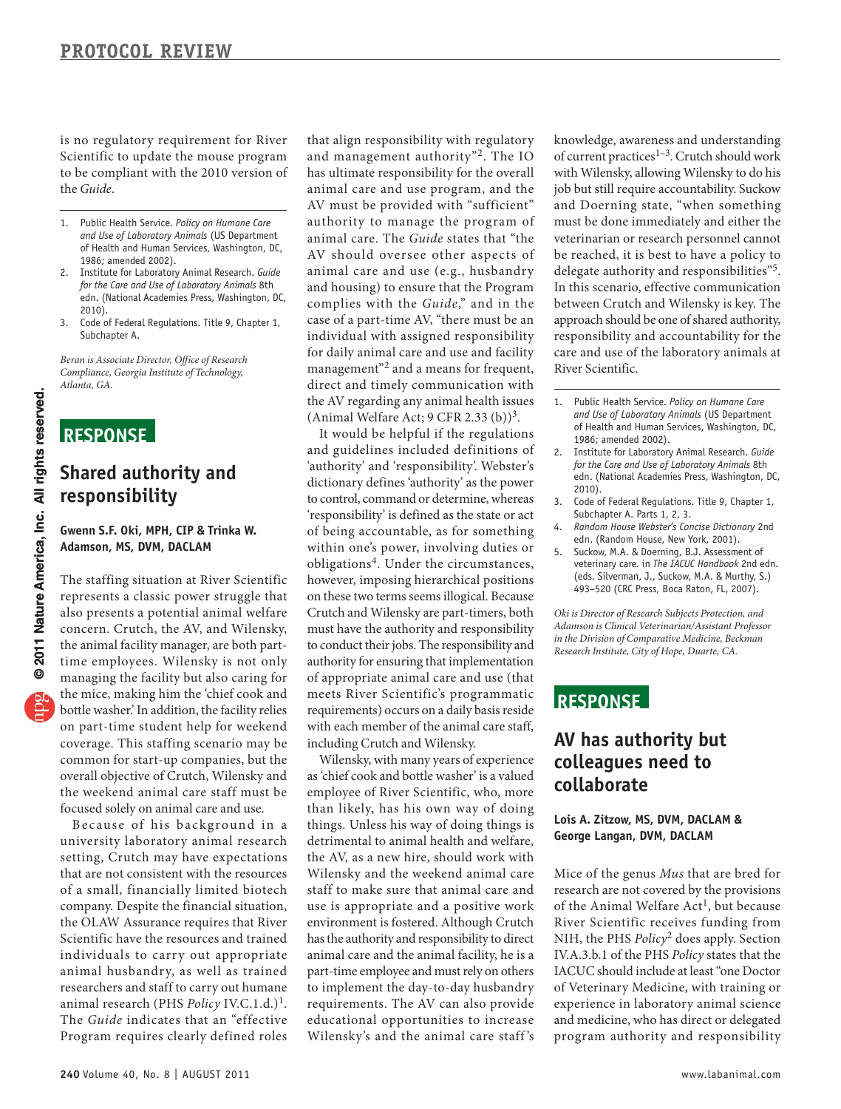Scientific to update the mouse program to be compliant with the 2010 version of is no regulatory requirement for River the *Guide*.

- 1. Public Health Service. *Policy on Humane Care and Use of Laboratory Animals* (US Department of Health and Human Services, Washington, DC, 1986; amended 2002).
- *for the Care and Use of Laboratory Animals* 8th 2. Institute for Laboratory Animal Research. *Guide*  edn. (National Academies Press, Washington, DC, 2010).
- 3. Code of Federal Regulations. Title 9, Chapter 1, Subchapter A.

*Beran is Associate Director, Office of Research Compliance, Georgia Institute of Technology, Atlanta, GA.* 

## **ReSponSe**

### **Shared authority and responsibility**

#### **Gwenn S.F. oki, MpH, CIp & Trinka W. Adamson, MS, DVM, DACLAM**

 represents a classic power struggle that also presents a potential animal welfare the mice, making him the 'chief cook and bottle washer.' In addition, the facility relies on part-time student help for weekend coverage. This staffing scenario may be common for start-up companies, but the overall objective of Crutch, Wilensky and the weekend animal care staff must be The staffing situation at River Scientific concern. Crutch, the AV, and Wilensky, the animal facility manager, are both parttime employees. Wilensky is not only managing the facility but also caring for focused solely on animal care and use.

Because of his background in a university laboratory animal research that are not consistent with the resources of a small, financially limited biotech company. Despite the financial situation, Scientific have the resources and trained individuals to carry out appropriate animal husbandry, as well as trained researchers and staff to carry out humane The *Guide* indicates that an "effective setting, Crutch may have expectations the OLAW Assurance requires that River animal research (PHS *Policy IV.C.1.d.*)<sup>1</sup>. Program requires clearly defined roles

 that align responsibility with regulatory and management authority"2. The IO has ultimate responsibility for the overall animal care and use program, and the AV must be provided with "sufficient" authority to manage the program of animal care. The *Guide* states that "the AV should oversee other aspects of case of a part-time AV, "there must be an management"<sup>2</sup> and a means for frequent, direct and timely communication with animal care and use (e.g., husbandry and housing) to ensure that the Program complies with the *Guide*," and in the individual with assigned responsibility for daily animal care and use and facility the AV regarding any animal health issues (Animal Welfare Act;  $9$  CFR 2.33 (b))<sup>3</sup>.

 and guidelines included definitions of 'authority' and 'responsibility'. Webster's to control, command or determine, whereas 'responsibility' is defined as the state or act of being accountable, as for something obligations4. Under the circumstances, however, imposing hierarchical positions on these two terms seems illogical. Because must have the authority and responsibility authority for ensuring that implementation of appropriate animal care and use (that meets River Scientific's programmatic requirements) occurs on a daily basis reside with each member of the animal care staff, It would be helpful if the regulations dictionary defines 'authority' as the power within one's power, involving duties or Crutch and Wilensky are part-timers, both to conduct their jobs. The responsibility and including Crutch and Wilensky.

 employee of River Scientific, who, more than likely, has his own way of doing detrimental to animal health and welfare, the AV, as a new hire, should work with Wilensky and the weekend animal care environment is fostered. Although Crutch has the authority and responsibility to direct animal care and the animal facility, he is a part-time employee and must rely on others to implement the day-to-day husbandry requirements. The AV can also provide educational opportunities to increase Wilensky, with many years of experience as 'chief cook and bottle washer' is a valued things. Unless his way of doing things is staff to make sure that animal care and use is appropriate and a positive work Wilensky's and the animal care staff 's

 knowledge, awareness and understanding with Wilensky, allowing Wilensky to do his job but still require accountability. Suckow and Doerning state, "when something must be done immediately and either the veterinarian or research personnel cannot delegate authority and responsibilities"<sup>5</sup>. In this scenario, effective communication between Crutch and Wilensky is key. The approach should be one of shared authority, responsibility and accountability for the care and use of the laboratory animals at of current practices<sup>1-3</sup>. Crutch should work be reached, it is best to have a policy to River Scientific.

- 1. Public Health Service. *Policy on Humane Care and Use of Laboratory Animals* (US Department of Health and Human Services, Washington, DC, 1986; amended 2002).
- *for the Care and Use of Laboratory Animals* 8th 2. Institute for Laboratory Animal Research. *Guide*  edn. (National Academies Press, Washington, DC, 2010).
- 3. Code of Federal Regulations. Title 9, Chapter 1, Subchapter A. Parts 1, 2, 3.
- 4. *Random House Webster's Concise Dictionary* 2nd edn. (Random House, New York, 2001).
- veterinary care. in *The IACUC Handbook* 2nd edn. 5. Suckow, M.A. & Doerning, B.J. Assessment of (eds. Silverman, J., Suckow, M.A. & Murthy, S.) 493–520 (CRC Press, Boca Raton, FL, 2007).

*Oki is Director of Research Subjects Protection, and Adamson is Clinical Veterinarian/Assistant Professor in the Division of Comparative Medicine, Beckman Research Institute, City of Hope, Duarte, CA.* 

### **ReSponSe**

### **AV has authority but colleagues need to collaborate**

#### **Lois A. Zitzow, MS, DVM, DACLAM & George Langan, DVM, DACLAM**

 research are not covered by the provisions of the Animal Welfare Act<sup>1</sup>, but because NIH, the PHS *Policy*2 does apply. Section IV.A.3.b.1 of the PHS *Policy* states that the experience in laboratory animal science and medicine, who has direct or delegated program authority and responsibility Mice of the genus *Mus* that are bred for River Scientific receives funding from IACUC should include at least "one Doctor of Veterinary Medicine, with training or